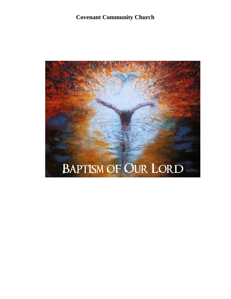# **Covenant Community Church**

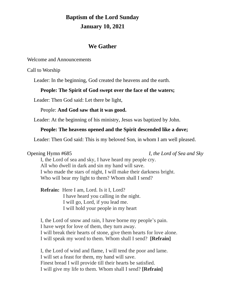# **Baptism of the Lord Sunday January 10, 2021**

## **We Gather**

Welcome and Announcements

Call to Worship

Leader: In the beginning, God created the heavens and the earth.

#### **People: The Spirit of God swept over the face of the waters;**

Leader: Then God said: Let there be light,

#### People: **And God saw that it was good.**

Leader: At the beginning of his ministry, Jesus was baptized by John.

#### **People: The heavens opened and the Spirit descended like a dove;**

Leader: Then God said: This is my beloved Son, in whom I am well pleased.

#### Opening Hymn #685 *I, the Lord of Sea and Sky*

I, the Lord of sea and sky, I have heard my people cry. All who dwell in dark and sin my hand will save. I who made the stars of night, I will make their darkness bright. Who will bear my light to them? Whom shall I send?

**Refrain:** Here I am, Lord. Is it I, Lord? I have heard you calling in the night. I will go, Lord, if you lead me. I will hold your people in my heart

I, the Lord of snow and rain, I have borne my people's pain. I have wept for love of them, they turn away. I will break their hearts of stone, give them hearts for love alone. I will speak my word to them. Whom shall I send? **[Refrain]**

I, the Lord of wind and flame, I will tend the poor and lame. I will set a feast for them, my hand will save. Finest bread I will provide till their hearts be satisfied. I will give my life to them. Whom shall I send? **[Refrain]**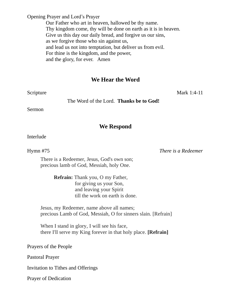Opening Prayer and Lord's Prayer

Our Father who art in heaven, hallowed be thy name. Thy kingdom come, thy will be done on earth as it is in heaven. Give us this day our daily bread, and forgive us our sins, as we forgive those who sin against us, and lead us not into temptation, but deliver us from evil. For thine is the kingdom, and the power, and the glory, for ever. Amen

## **We Hear the Word**

Scripture Mark 1:4-11

The Word of the Lord. **Thanks be to God!**

Sermon

### **We Respond**

Interlude

Hymn #75 *There is a Redeemer*

There is a Redeemer, Jesus, God's own son; precious lamb of God, Messiah, holy One.

> **Refrain:** Thank you, O my Father, for giving us your Son, and leaving your Spirit till the work on earth is done.

Jesus, my Redeemer, name above all names; precious Lamb of God, Messiah, O for sinners slain. [Refrain]

When I stand in glory, I will see his face, there I'll serve my King forever in that holy place. **[Refrain]**

Prayers of the People

Pastoral Prayer

Invitation to Tithes and Offerings

Prayer of Dedication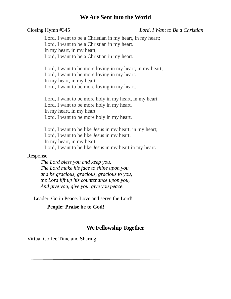#### **We Are Sent into the World**

#### Closing Hymn #345 *Lord, I Want to Be a Christian*

Lord, I want to be a [Christian](https://www.definitions.net/definition/Christian) in my [heart,](https://www.definitions.net/definition/heart) in my heart; Lord, I want to be a [Christian](https://www.definitions.net/definition/Christian) in my [heart.](https://www.definitions.net/definition/heart) In my [heart,](https://www.definitions.net/definition/heart) in my heart, Lord, I want to be a [Christian](https://www.definitions.net/definition/Christian) in my [heart.](https://www.definitions.net/definition/heart)

Lord, I want to be more [loving](https://www.definitions.net/definition/loving) in my [heart,](https://www.definitions.net/definition/heart) in my heart; Lord, I want to be more [loving](https://www.definitions.net/definition/loving) in my [heart.](https://www.definitions.net/definition/heart) In my [heart,](https://www.definitions.net/definition/heart) in my heart, Lord, I want to be more [loving](https://www.definitions.net/definition/loving) in my [heart.](https://www.definitions.net/definition/heart)

Lord, I want to be more holy in my [heart,](https://www.definitions.net/definition/heart) in my heart; Lord, I want to be more holy in my [heart.](https://www.definitions.net/definition/heart) In my [heart,](https://www.definitions.net/definition/heart) in my heart, Lord, I want to be more holy in my [heart.](https://www.definitions.net/definition/heart)

Lord, I want to be like [Jesus](https://www.definitions.net/definition/Jesus) in my [heart,](https://www.definitions.net/definition/heart) in my heart; Lord, I want to be like [Jesus](https://www.definitions.net/definition/Jesus) in my [heart.](https://www.definitions.net/definition/heart) In my [heart,](https://www.definitions.net/definition/heart) in my heart Lord, I want to be like [Jesus](https://www.definitions.net/definition/Jesus) in my [heart](https://www.definitions.net/definition/heart) in my heart.

#### Response

*The Lord bless you and keep you, The Lord make his face to shine upon you and be gracious, gracious, gracious to you, the Lord lift up his countenance upon you, And give you, give you, give you peace.*

Leader: Go in Peace. Love and serve the Lord!

#### **People: Praise be to God!**

#### **We Fellowship Together**

Virtual Coffee Time and Sharing